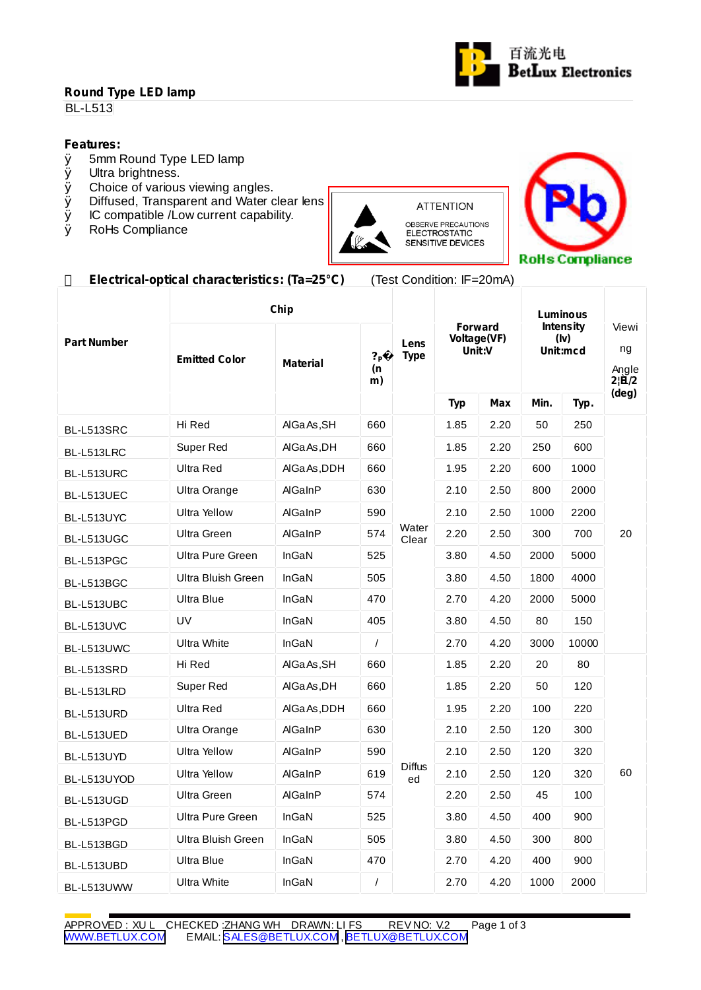# **Round Type LED lamp**

**BL-L513** 

# **Features:**<br> **Ø** 5mm I

- $\emptyset$  5mm Round Type LED lamp<br> $\emptyset$  Ultra brightness.
- **Ø** Ultra brightness.<br>**Ø** Choice of various
- Choice of various viewing angles.
- $\emptyset$  Diffused, Transparent and Water clear lens  $\emptyset$  IC compatible /Low current capability.
- $\emptyset$  IC compatible /Low current capability.<br>  $\emptyset$  RoHs Compliance
- RoHs Compliance



OBSERVE PRECAUTIONS<br>ELECTROSTATIC<br>SENSITIVE DEVICES



### **Electrical-optical characteristics: (Ta=25°C)** (Test Condition: IF=20mA)

|                    | Chip                 |                 |                            |                     | Luminous                                |      |                                      |       |                               |  |
|--------------------|----------------------|-----------------|----------------------------|---------------------|-----------------------------------------|------|--------------------------------------|-------|-------------------------------|--|
| <b>Part Number</b> | <b>Emitted Color</b> | <b>Material</b> | ? <sub>P</sub><br>(n<br>m) | Lens<br><b>Type</b> | <b>Forward</b><br>Voltage(VF)<br>Unit:V |      | <b>Intensity</b><br>(lv)<br>Unit:mcd |       | Viewi<br>ng<br>Angle<br>2!B/2 |  |
|                    |                      |                 |                            |                     | <b>Typ</b>                              | Max  | Min.                                 | Typ.  | $(\text{deg})$                |  |
| BL-L513SRC         | Hi Red               | AIGa As, SH     | 660                        |                     | 1.85                                    | 2.20 | 50                                   | 250   | 20                            |  |
| BL-L513LRC         | Super Red            | AIGa As .DH     | 660                        | Water<br>Clear      | 1.85                                    | 2.20 | 250                                  | 600   |                               |  |
| BL-L513URC         | Ultra Red            | AlGa As, DDH    | 660                        |                     | 1.95                                    | 2.20 | 600                                  | 1000  |                               |  |
| BL-L513UEC         | Ultra Orange         | AlGainP         | 630                        |                     | 2.10                                    | 2.50 | 800                                  | 2000  |                               |  |
| BL-L513UYC         | <b>Ultra Yellow</b>  | AlGaInP         | 590                        |                     | 2.10                                    | 2.50 | 1000                                 | 2200  |                               |  |
| BL-L513UGC         | Ultra Green          | AlGaInP         | 574                        |                     | 2.20                                    | 2.50 | 300                                  | 700   |                               |  |
| BL-L513PGC         | Ultra Pure Green     | InGaN           | 525                        |                     | 3.80                                    | 4.50 | 2000                                 | 5000  |                               |  |
| BL-L513BGC         | Ultra Bluish Green   | InGaN           | 505                        |                     | 3.80                                    | 4.50 | 1800                                 | 4000  |                               |  |
| BL-L513UBC         | Ultra Blue           | InGaN           | 470                        |                     | 2.70                                    | 4.20 | 2000                                 | 5000  |                               |  |
| BL-L513UVC         | UV                   | InGaN           | 405                        |                     | 3.80                                    | 4.50 | 80                                   | 150   |                               |  |
| BL-L513UWC         | <b>Ultra White</b>   | InGaN           | $\prime$                   |                     | 2.70                                    | 4.20 | 3000                                 | 10000 |                               |  |
| BL-L513SRD         | Hi Red               | AlGa As, SH     | 660                        |                     | 1.85                                    | 2.20 | 20                                   | 80    | 60                            |  |
| BL-L513LRD         | Super Red            | AIGa As, DH     | 660                        |                     | 1.85                                    | 2.20 | 50                                   | 120   |                               |  |
| BL-L513URD         | Ultra Red            | AlGaAs, DDH     | 660                        |                     | 1.95                                    | 2.20 | 100                                  | 220   |                               |  |
| BL-L513UED         | Ultra Orange         | AlGaInP         | 630                        |                     | 2.10                                    | 2.50 | 120                                  | 300   |                               |  |
| BL-L513UYD         | <b>Ultra Yellow</b>  | AlGaInP         | 590                        | <b>Diffus</b><br>ed | 2.10                                    | 2.50 | 120                                  | 320   |                               |  |
| BL-L513UYOD        | Ultra Yellow         | AlGaInP         | 619                        |                     | 2.10                                    | 2.50 | 120                                  | 320   |                               |  |
| BL-L513UGD         | Ultra Green          | AlGaInP         | 574                        |                     | 2.20                                    | 2.50 | 45                                   | 100   |                               |  |
| BL-L513PGD         | Ultra Pure Green     | InGaN           | 525                        |                     | 3.80                                    | 4.50 | 400                                  | 900   |                               |  |
| BL-L513BGD         | Ultra Bluish Green   | InGaN           | 505                        |                     | 3.80                                    | 4.50 | 300                                  | 800   |                               |  |
| BL-L513UBD         | Ultra Blue           | InGaN           | 470                        |                     | 2.70                                    | 4.20 | 400                                  | 900   |                               |  |
| BL-L513UWW         | <b>Ultra White</b>   | <b>InGaN</b>    | $\prime$                   |                     | 2.70                                    | 4.20 | 1000                                 | 2000  |                               |  |

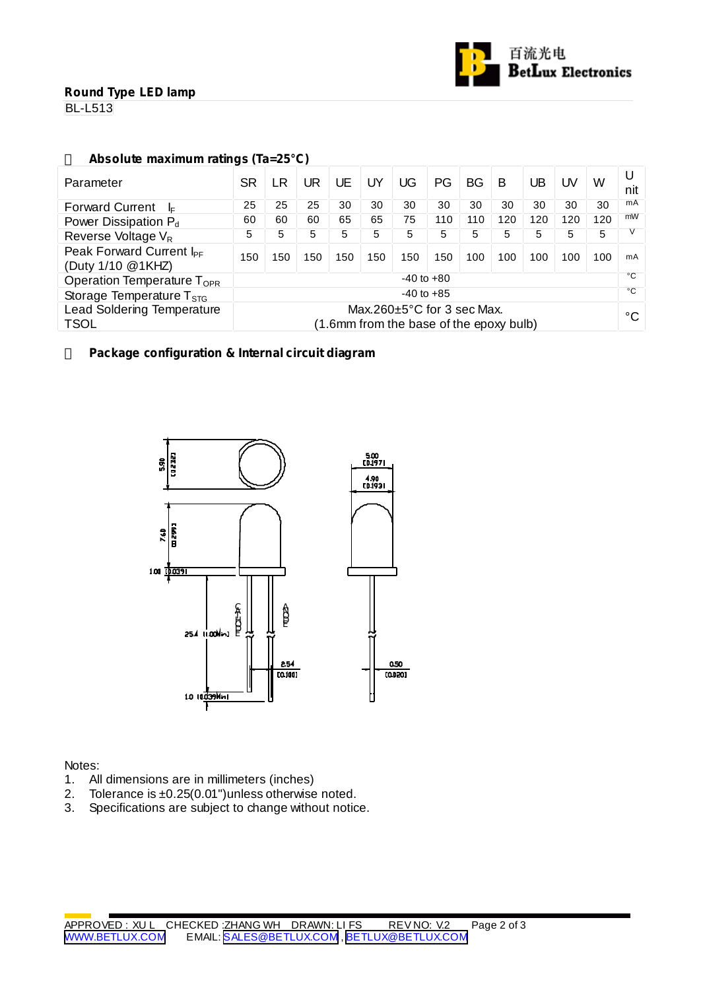

## **Round Type LED lamp**

**BL-L513** 

# **Absolute maximum ratings (Ta=25°C)**

| Parameter                                                                                                                       | SR             | LR  | JR  | UE  | UY  | UG           | PG  | <b>BG</b> | B   | UB  | UV  | W   | nit |
|---------------------------------------------------------------------------------------------------------------------------------|----------------|-----|-----|-----|-----|--------------|-----|-----------|-----|-----|-----|-----|-----|
| <b>Forward Current</b><br>-le                                                                                                   |                | 25  | 25  | 30  | 30  | 30           | 30  | 30        | 30  | 30  | 30  | 30  | mA  |
| Power Dissipation P <sub>d</sub>                                                                                                |                | 60  | 60  | 65  | 65  | 75           | 110 | 110       | 120 | 120 | 120 | 120 | mW  |
| Reverse Voltage V <sub>R</sub>                                                                                                  |                | 5   | 5   | 5   | 5   | 5            | 5   | 5         | 5   | 5   | 5   | 5   |     |
| Peak Forward Current I <sub>PF</sub><br>(Duty 1/10 @1KHZ)                                                                       | 150            | 150 | 150 | 150 | 150 | 150          | 150 | 100       | 100 | 100 | 100 | 100 | mA  |
| Operation Temperature T <sub>OPR</sub>                                                                                          | $-40$ to $+80$ |     |     |     |     |              |     |           |     |     |     |     | °C  |
| $-40$ to $+85$<br>Storage Temperature $T_{\text{STG}}$                                                                          |                |     |     |     |     | $^{\circ}$ C |     |           |     |     |     |     |     |
| <b>Lead Soldering Temperature</b><br>Max.260 $\pm$ 5°C for 3 sec Max.<br><b>TSOL</b><br>(1.6mm from the base of the epoxy bulb) |                |     |     |     |     |              |     | °C        |     |     |     |     |     |

#### **Package configuration & Internal circuit diagram**



#### Notes:

- 1. All dimensions are in millimeters (inches)
- 2. Tolerance is ±0.25(0.01") unless otherwise noted.
- 3. Specifications are subject to change without notice.